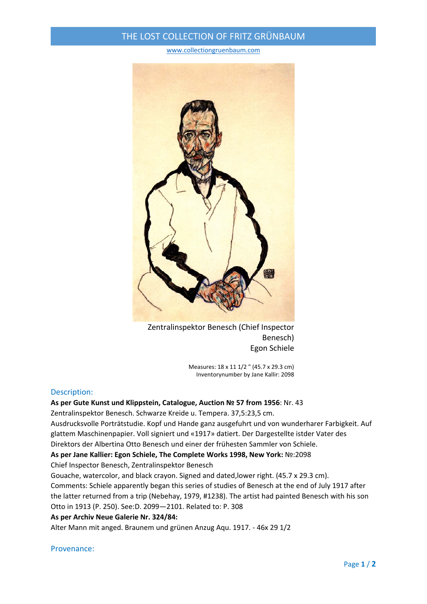# THE LOST COLLECTION OF FRITZ GRÜNBAUM

#### www.collectiongruenbaum.com



Zentralinspektor Benesch (Chief Inspector Benesch) Egon Schiele

> Measures: 18 x 11 1/2 " (45.7 x 29.3 cm) Inventorynumber by Jane Kallir: 2098

### Description:

### **As per Gute Kunst und Klippstein, Catalogue, Auction № 57 from 1956**: Nr. 43

Zentralinspektor Benesch. Schwarze Kreide u. Tempera. 37,5:23,5 cm.

Ausdrucksvolle Porträtstudie. Kopf und Hande ganz ausgefuhrt und von wunderharer Farbigkeit. Auf glattem Maschinenpapier. Voll signiert und «1917» datiert. Der Dargestellte istder Vater des Direktors der Albertina Otto Benesch und einer der frühesten Sammler von Schiele.

**As per Jane Kallier: Egon Schiele, The Complete Works 1998, New York:** №:2098

Chief Inspector Benesch, Zentralinspektor Benesch

Gouache, watercolor, and black crayon. Signed and dated,lower right. (45.7 x 29.3 cm).

Comments: Schiele apparently began this series of studies of Benesch at the end of July 1917 after the latter returned from a trip (Nebehay, 1979, #1238). The artist had painted Benesch with his son Otto in 1913 (P. 250). See:D. 2099—2101. Related to: P. 308

### **As per Archiv Neue Galerie Nr. 324/84:**

Alter Mann mit anged. Braunem und grünen Anzug Aqu. 1917. ‐ 46x 29 1/2